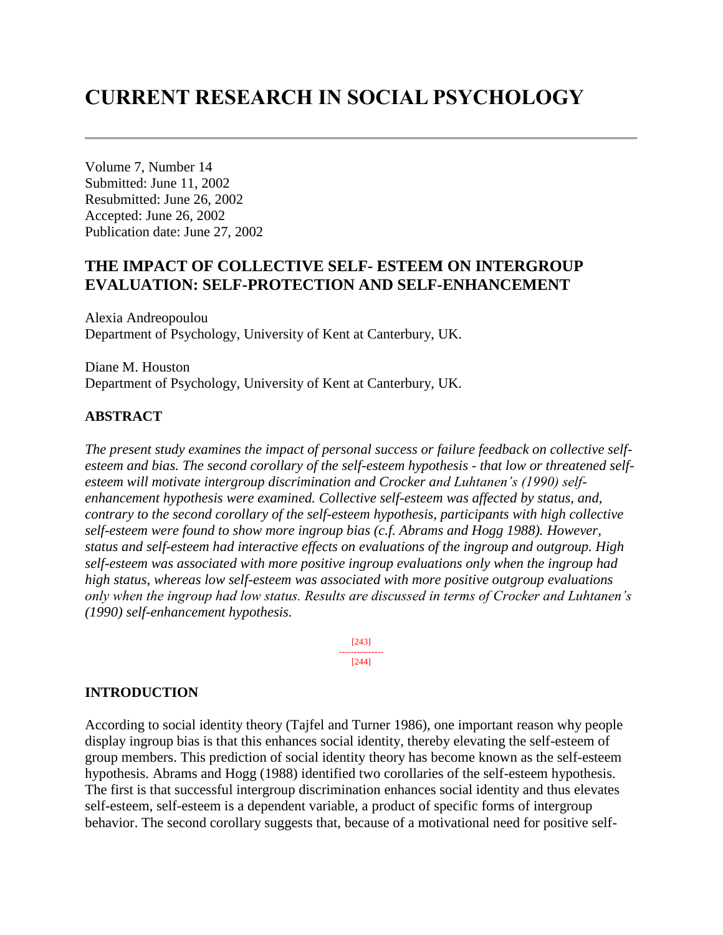# **CURRENT RESEARCH IN SOCIAL PSYCHOLOGY**

Volume 7, Number 14 Submitted: June 11, 2002 Resubmitted: June 26, 2002 Accepted: June 26, 2002 Publication date: June 27, 2002

# **THE IMPACT OF COLLECTIVE SELF- ESTEEM ON INTERGROUP EVALUATION: SELF-PROTECTION AND SELF-ENHANCEMENT**

Alexia Andreopoulou Department of Psychology, University of Kent at Canterbury, UK.

Diane M. Houston Department of Psychology, University of Kent at Canterbury, UK.

## **ABSTRACT**

*The present study examines the impact of personal success or failure feedback on collective selfesteem and bias. The second corollary of the self-esteem hypothesis - that low or threatened selfesteem will motivate intergroup discrimination and Crocker and Luhtanen's (1990) selfenhancement hypothesis were examined. Collective self-esteem was affected by status, and, contrary to the second corollary of the self-esteem hypothesis, participants with high collective self-esteem were found to show more ingroup bias (c.f. Abrams and Hogg 1988). However, status and self-esteem had interactive effects on evaluations of the ingroup and outgroup. High self-esteem was associated with more positive ingroup evaluations only when the ingroup had high status, whereas low self-esteem was associated with more positive outgroup evaluations only when the ingroup had low status. Results are discussed in terms of Crocker and Luhtanen's (1990) self-enhancement hypothesis.*

> [243] --------------- [244]

#### **INTRODUCTION**

According to social identity theory (Tajfel and Turner 1986), one important reason why people display ingroup bias is that this enhances social identity, thereby elevating the self-esteem of group members. This prediction of social identity theory has become known as the self-esteem hypothesis. Abrams and Hogg (1988) identified two corollaries of the self-esteem hypothesis. The first is that successful intergroup discrimination enhances social identity and thus elevates self-esteem, self-esteem is a dependent variable, a product of specific forms of intergroup behavior. The second corollary suggests that, because of a motivational need for positive self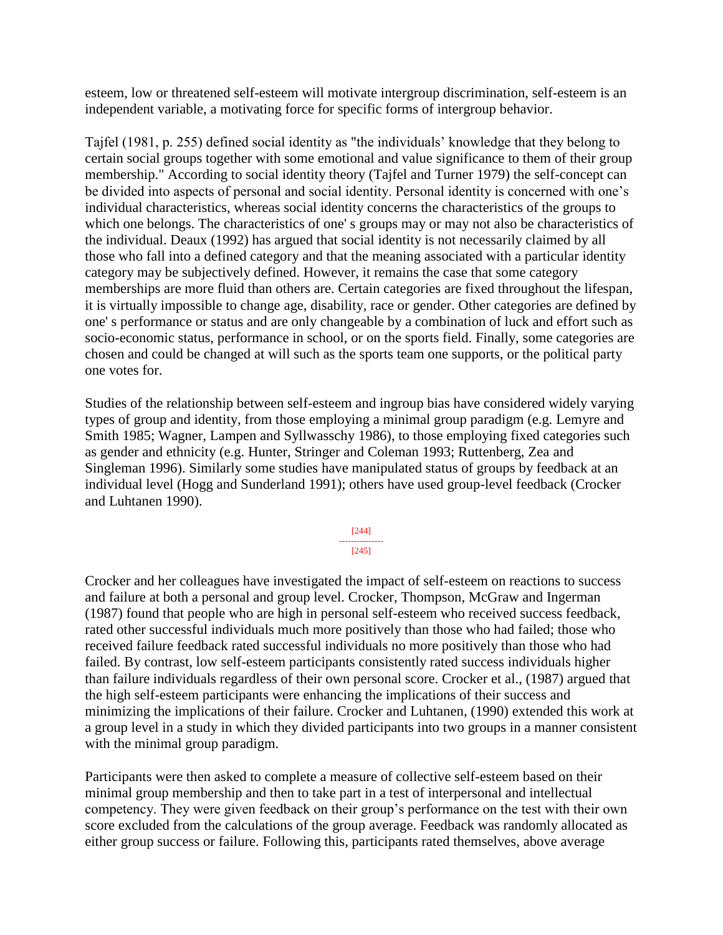esteem, low or threatened self-esteem will motivate intergroup discrimination, self-esteem is an independent variable, a motivating force for specific forms of intergroup behavior.

Tajfel (1981, p. 255) defined social identity as "the individuals' knowledge that they belong to certain social groups together with some emotional and value significance to them of their group membership." According to social identity theory (Tajfel and Turner 1979) the self-concept can be divided into aspects of personal and social identity. Personal identity is concerned with one's individual characteristics, whereas social identity concerns the characteristics of the groups to which one belongs. The characteristics of one' s groups may or may not also be characteristics of the individual. Deaux (1992) has argued that social identity is not necessarily claimed by all those who fall into a defined category and that the meaning associated with a particular identity category may be subjectively defined. However, it remains the case that some category memberships are more fluid than others are. Certain categories are fixed throughout the lifespan, it is virtually impossible to change age, disability, race or gender. Other categories are defined by one' s performance or status and are only changeable by a combination of luck and effort such as socio-economic status, performance in school, or on the sports field. Finally, some categories are chosen and could be changed at will such as the sports team one supports, or the political party one votes for.

Studies of the relationship between self-esteem and ingroup bias have considered widely varying types of group and identity, from those employing a minimal group paradigm (e.g. Lemyre and Smith 1985; Wagner, Lampen and Syllwasschy 1986), to those employing fixed categories such as gender and ethnicity (e.g. Hunter, Stringer and Coleman 1993; Ruttenberg, Zea and Singleman 1996). Similarly some studies have manipulated status of groups by feedback at an individual level (Hogg and Sunderland 1991); others have used group-level feedback (Crocker and Luhtanen 1990).

> [244] --------------- [245]

Crocker and her colleagues have investigated the impact of self-esteem on reactions to success and failure at both a personal and group level. Crocker, Thompson, McGraw and Ingerman (1987) found that people who are high in personal self-esteem who received success feedback, rated other successful individuals much more positively than those who had failed; those who received failure feedback rated successful individuals no more positively than those who had failed. By contrast, low self-esteem participants consistently rated success individuals higher than failure individuals regardless of their own personal score. Crocker et al., (1987) argued that the high self-esteem participants were enhancing the implications of their success and minimizing the implications of their failure. Crocker and Luhtanen, (1990) extended this work at a group level in a study in which they divided participants into two groups in a manner consistent with the minimal group paradigm.

Participants were then asked to complete a measure of collective self-esteem based on their minimal group membership and then to take part in a test of interpersonal and intellectual competency. They were given feedback on their group's performance on the test with their own score excluded from the calculations of the group average. Feedback was randomly allocated as either group success or failure. Following this, participants rated themselves, above average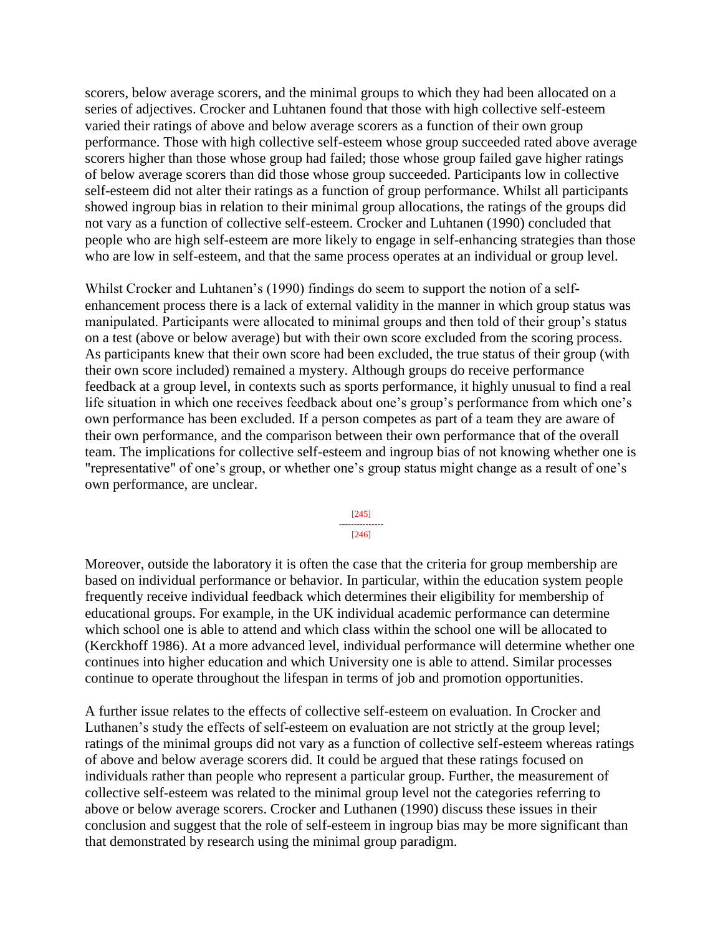scorers, below average scorers, and the minimal groups to which they had been allocated on a series of adjectives. Crocker and Luhtanen found that those with high collective self-esteem varied their ratings of above and below average scorers as a function of their own group performance. Those with high collective self-esteem whose group succeeded rated above average scorers higher than those whose group had failed; those whose group failed gave higher ratings of below average scorers than did those whose group succeeded. Participants low in collective self-esteem did not alter their ratings as a function of group performance. Whilst all participants showed ingroup bias in relation to their minimal group allocations, the ratings of the groups did not vary as a function of collective self-esteem. Crocker and Luhtanen (1990) concluded that people who are high self-esteem are more likely to engage in self-enhancing strategies than those who are low in self-esteem, and that the same process operates at an individual or group level.

Whilst Crocker and Luhtanen's (1990) findings do seem to support the notion of a selfenhancement process there is a lack of external validity in the manner in which group status was manipulated. Participants were allocated to minimal groups and then told of their group's status on a test (above or below average) but with their own score excluded from the scoring process. As participants knew that their own score had been excluded, the true status of their group (with their own score included) remained a mystery. Although groups do receive performance feedback at a group level, in contexts such as sports performance, it highly unusual to find a real life situation in which one receives feedback about one's group's performance from which one's own performance has been excluded. If a person competes as part of a team they are aware of their own performance, and the comparison between their own performance that of the overall team. The implications for collective self-esteem and ingroup bias of not knowing whether one is "representative" of one's group, or whether one's group status might change as a result of one's own performance, are unclear.

> [245] --------------- [246]

Moreover, outside the laboratory it is often the case that the criteria for group membership are based on individual performance or behavior. In particular, within the education system people frequently receive individual feedback which determines their eligibility for membership of educational groups. For example, in the UK individual academic performance can determine which school one is able to attend and which class within the school one will be allocated to (Kerckhoff 1986). At a more advanced level, individual performance will determine whether one continues into higher education and which University one is able to attend. Similar processes continue to operate throughout the lifespan in terms of job and promotion opportunities.

A further issue relates to the effects of collective self-esteem on evaluation. In Crocker and Luthanen's study the effects of self-esteem on evaluation are not strictly at the group level; ratings of the minimal groups did not vary as a function of collective self-esteem whereas ratings of above and below average scorers did. It could be argued that these ratings focused on individuals rather than people who represent a particular group. Further, the measurement of collective self-esteem was related to the minimal group level not the categories referring to above or below average scorers. Crocker and Luthanen (1990) discuss these issues in their conclusion and suggest that the role of self-esteem in ingroup bias may be more significant than that demonstrated by research using the minimal group paradigm.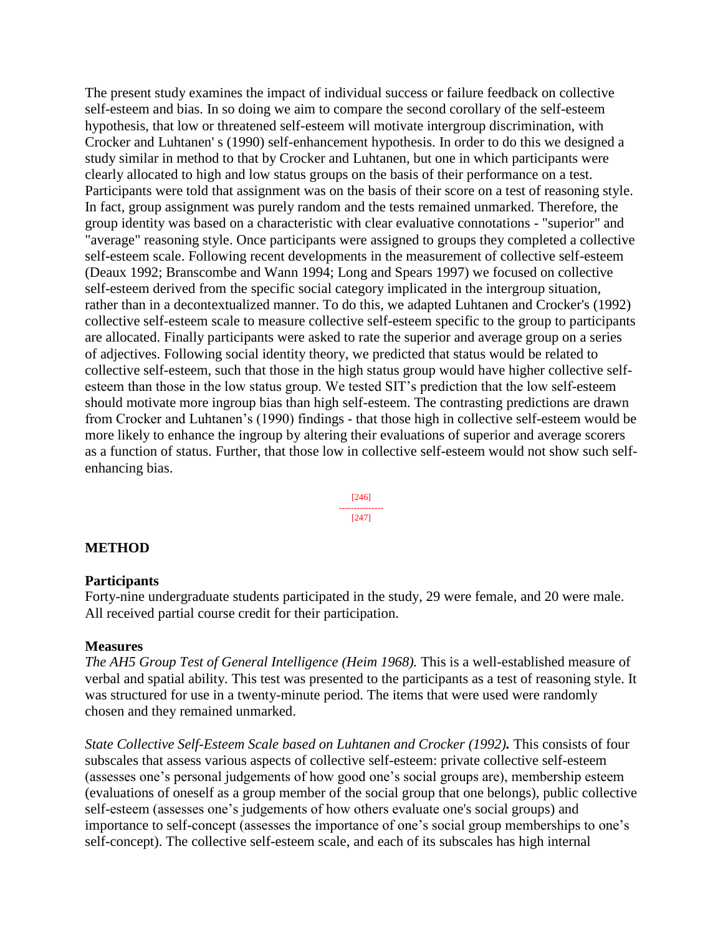The present study examines the impact of individual success or failure feedback on collective self-esteem and bias. In so doing we aim to compare the second corollary of the self-esteem hypothesis, that low or threatened self-esteem will motivate intergroup discrimination, with Crocker and Luhtanen' s (1990) self-enhancement hypothesis. In order to do this we designed a study similar in method to that by Crocker and Luhtanen, but one in which participants were clearly allocated to high and low status groups on the basis of their performance on a test. Participants were told that assignment was on the basis of their score on a test of reasoning style. In fact, group assignment was purely random and the tests remained unmarked. Therefore, the group identity was based on a characteristic with clear evaluative connotations - "superior" and "average" reasoning style. Once participants were assigned to groups they completed a collective self-esteem scale. Following recent developments in the measurement of collective self-esteem (Deaux 1992; Branscombe and Wann 1994; Long and Spears 1997) we focused on collective self-esteem derived from the specific social category implicated in the intergroup situation, rather than in a decontextualized manner. To do this, we adapted Luhtanen and Crocker's (1992) collective self-esteem scale to measure collective self-esteem specific to the group to participants are allocated. Finally participants were asked to rate the superior and average group on a series of adjectives. Following social identity theory, we predicted that status would be related to collective self-esteem, such that those in the high status group would have higher collective selfesteem than those in the low status group. We tested SIT's prediction that the low self-esteem should motivate more ingroup bias than high self-esteem. The contrasting predictions are drawn from Crocker and Luhtanen's (1990) findings - that those high in collective self-esteem would be more likely to enhance the ingroup by altering their evaluations of superior and average scorers as a function of status. Further, that those low in collective self-esteem would not show such selfenhancing bias.

> [246] --------------- [247]

#### **METHOD**

#### **Participants**

Forty-nine undergraduate students participated in the study, 29 were female, and 20 were male. All received partial course credit for their participation.

#### **Measures**

*The AH5 Group Test of General Intelligence (Heim 1968).* This is a well-established measure of verbal and spatial ability. This test was presented to the participants as a test of reasoning style. It was structured for use in a twenty-minute period. The items that were used were randomly chosen and they remained unmarked.

*State Collective Self-Esteem Scale based on Luhtanen and Crocker (1992).* This consists of four subscales that assess various aspects of collective self-esteem: private collective self-esteem (assesses one's personal judgements of how good one's social groups are), membership esteem (evaluations of oneself as a group member of the social group that one belongs), public collective self-esteem (assesses one's judgements of how others evaluate one's social groups) and importance to self-concept (assesses the importance of one's social group memberships to one's self-concept). The collective self-esteem scale, and each of its subscales has high internal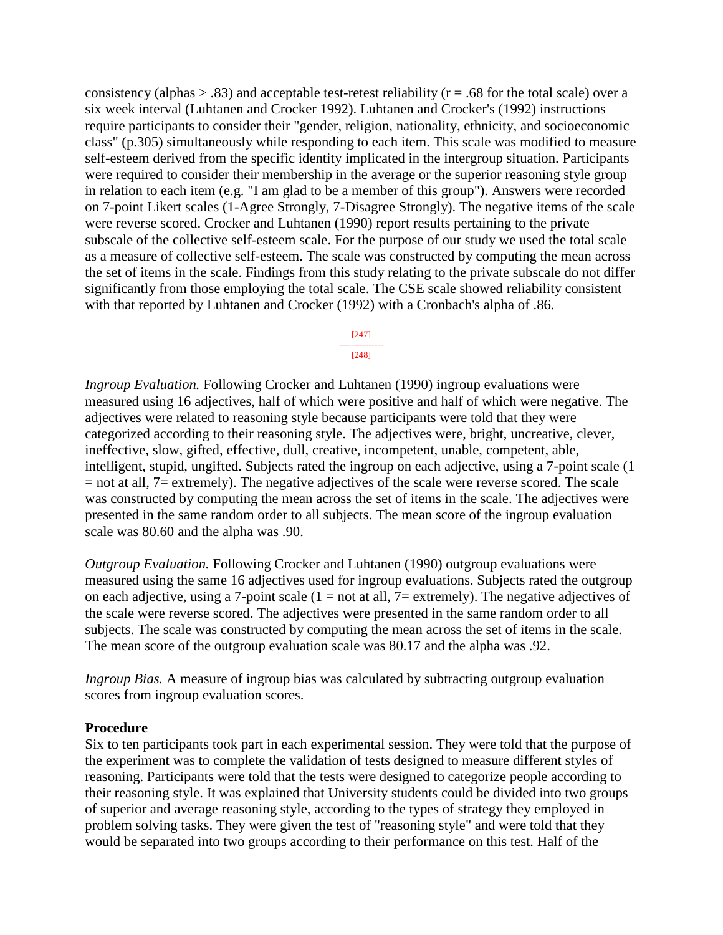consistency (alphas  $> .83$ ) and acceptable test-retest reliability ( $r = .68$  for the total scale) over a six week interval (Luhtanen and Crocker 1992). Luhtanen and Crocker's (1992) instructions require participants to consider their "gender, religion, nationality, ethnicity, and socioeconomic class" (p.305) simultaneously while responding to each item. This scale was modified to measure self-esteem derived from the specific identity implicated in the intergroup situation. Participants were required to consider their membership in the average or the superior reasoning style group in relation to each item (e.g. "I am glad to be a member of this group"). Answers were recorded on 7-point Likert scales (1-Agree Strongly, 7-Disagree Strongly). The negative items of the scale were reverse scored. Crocker and Luhtanen (1990) report results pertaining to the private subscale of the collective self-esteem scale. For the purpose of our study we used the total scale as a measure of collective self-esteem. The scale was constructed by computing the mean across the set of items in the scale. Findings from this study relating to the private subscale do not differ significantly from those employing the total scale. The CSE scale showed reliability consistent with that reported by Luhtanen and Crocker (1992) with a Cronbach's alpha of .86.

> [247] --------------- [248]

*Ingroup Evaluation.* Following Crocker and Luhtanen (1990) ingroup evaluations were measured using 16 adjectives, half of which were positive and half of which were negative. The adjectives were related to reasoning style because participants were told that they were categorized according to their reasoning style. The adjectives were, bright, uncreative, clever, ineffective, slow, gifted, effective, dull, creative, incompetent, unable, competent, able, intelligent, stupid, ungifted. Subjects rated the ingroup on each adjective, using a 7-point scale (1 = not at all, 7= extremely). The negative adjectives of the scale were reverse scored. The scale was constructed by computing the mean across the set of items in the scale. The adjectives were presented in the same random order to all subjects. The mean score of the ingroup evaluation scale was 80.60 and the alpha was .90.

*Outgroup Evaluation.* Following Crocker and Luhtanen (1990) outgroup evaluations were measured using the same 16 adjectives used for ingroup evaluations. Subjects rated the outgroup on each adjective, using a 7-point scale  $(1 = not at all, 7 = extremely)$ . The negative adjectives of the scale were reverse scored. The adjectives were presented in the same random order to all subjects. The scale was constructed by computing the mean across the set of items in the scale. The mean score of the outgroup evaluation scale was 80.17 and the alpha was .92.

*Ingroup Bias.* A measure of ingroup bias was calculated by subtracting outgroup evaluation scores from ingroup evaluation scores.

#### **Procedure**

Six to ten participants took part in each experimental session. They were told that the purpose of the experiment was to complete the validation of tests designed to measure different styles of reasoning. Participants were told that the tests were designed to categorize people according to their reasoning style. It was explained that University students could be divided into two groups of superior and average reasoning style, according to the types of strategy they employed in problem solving tasks. They were given the test of "reasoning style" and were told that they would be separated into two groups according to their performance on this test. Half of the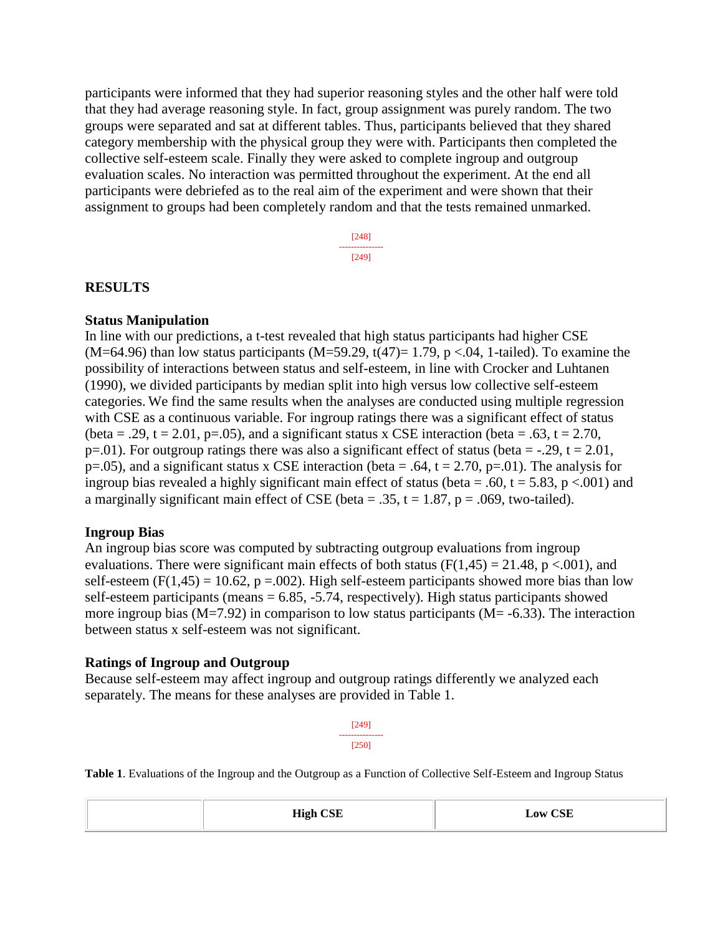participants were informed that they had superior reasoning styles and the other half were told that they had average reasoning style. In fact, group assignment was purely random. The two groups were separated and sat at different tables. Thus, participants believed that they shared category membership with the physical group they were with. Participants then completed the collective self-esteem scale. Finally they were asked to complete ingroup and outgroup evaluation scales. No interaction was permitted throughout the experiment. At the end all participants were debriefed as to the real aim of the experiment and were shown that their assignment to groups had been completely random and that the tests remained unmarked.

> [248] --------------- [249]

#### **RESULTS**

#### **Status Manipulation**

In line with our predictions, a t-test revealed that high status participants had higher CSE  $(M=64.96)$  than low status participants  $(M=59.29, t(47)=1.79, p < 0.04, 1-tailed)$ . To examine the possibility of interactions between status and self-esteem, in line with Crocker and Luhtanen (1990), we divided participants by median split into high versus low collective self-esteem categories. We find the same results when the analyses are conducted using multiple regression with CSE as a continuous variable. For ingroup ratings there was a significant effect of status (beta = .29, t = 2.01, p=.05), and a significant status x CSE interaction (beta = .63, t = 2.70, p=.01). For outgroup ratings there was also a significant effect of status (beta = -.29, t = 2.01, p=.05), and a significant status x CSE interaction (beta = .64,  $t = 2.70$ , p=.01). The analysis for ingroup bias revealed a highly significant main effect of status (beta = .60, t = 5.83, p <.001) and a marginally significant main effect of CSE (beta = .35,  $t = 1.87$ ,  $p = .069$ , two-tailed).

#### **Ingroup Bias**

An ingroup bias score was computed by subtracting outgroup evaluations from ingroup evaluations. There were significant main effects of both status ( $F(1,45) = 21.48$ ,  $p < .001$ ), and self-esteem (F(1,45) = 10.62, p = 0.02). High self-esteem participants showed more bias than low self-esteem participants (means  $= 6.85, -5.74$ , respectively). High status participants showed more ingroup bias  $(M=7.92)$  in comparison to low status participants  $(M=6.33)$ . The interaction between status x self-esteem was not significant.

#### **Ratings of Ingroup and Outgroup**

Because self-esteem may affect ingroup and outgroup ratings differently we analyzed each separately. The means for these analyses are provided in Table 1.

> [249] --------------- [250]

**Table 1**. Evaluations of the Ingroup and the Outgroup as a Function of Collective Self-Esteem and Ingroup Status

| <b>High CSE</b> | <b>Low CSE</b><br>$ -$<br>$\sim$ |
|-----------------|----------------------------------|
|-----------------|----------------------------------|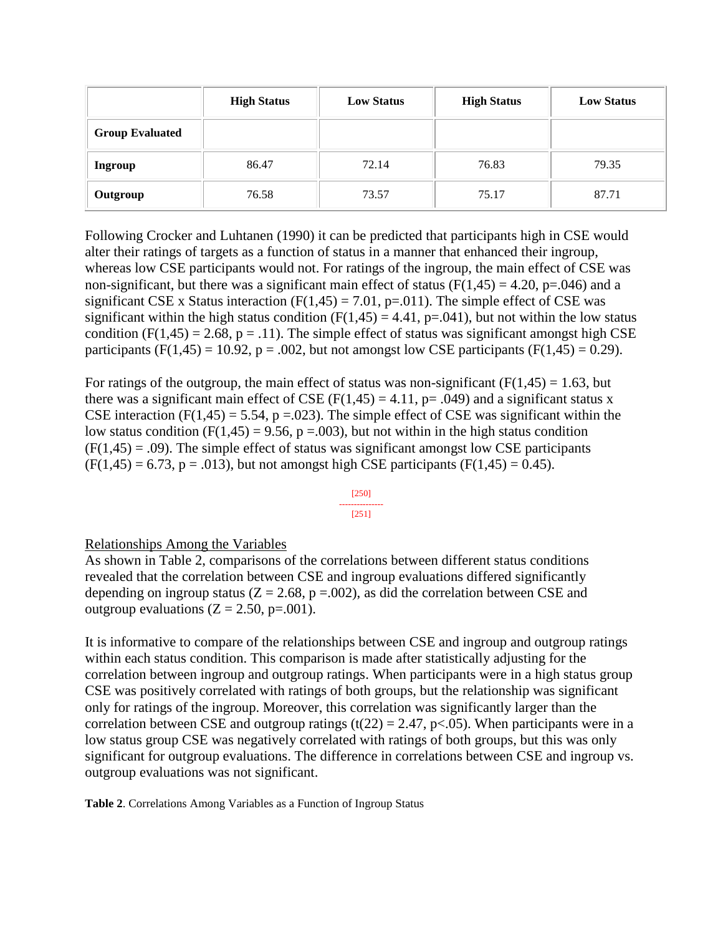|                        | <b>High Status</b> | <b>Low Status</b> | <b>High Status</b> | <b>Low Status</b> |
|------------------------|--------------------|-------------------|--------------------|-------------------|
| <b>Group Evaluated</b> |                    |                   |                    |                   |
| <b>Ingroup</b>         | 86.47              | 72.14             | 76.83              | 79.35             |
| Outgroup               | 76.58              | 73.57             | 75.17              | 87.71             |

Following Crocker and Luhtanen (1990) it can be predicted that participants high in CSE would alter their ratings of targets as a function of status in a manner that enhanced their ingroup, whereas low CSE participants would not. For ratings of the ingroup, the main effect of CSE was non-significant, but there was a significant main effect of status  $(F(1,45) = 4.20, p=.046)$  and a significant CSE x Status interaction  $(F(1,45) = 7.01, p=.011)$ . The simple effect of CSE was significant within the high status condition  $(F(1,45) = 4.41, p=.041)$ , but not within the low status condition (F(1,45) = 2.68, p = .11). The simple effect of status was significant amongst high CSE participants (F(1,45) = 10.92, p = .002, but not amongst low CSE participants (F(1,45) = 0.29).

For ratings of the outgroup, the main effect of status was non-significant ( $F(1,45) = 1.63$ , but there was a significant main effect of CSE ( $F(1,45) = 4.11$ ,  $p = .049$ ) and a significant status x CSE interaction (F(1,45) = 5.54, p = 0.023). The simple effect of CSE was significant within the low status condition (F(1,45) = 9.56, p = 0.03), but not within in the high status condition  $(F(1,45) = .09)$ . The simple effect of status was significant amongst low CSE participants  $(F(1,45) = 6.73, p = .013)$ , but not amongst high CSE participants  $(F(1,45) = 0.45)$ .

#### [250] --------------- [251]

#### Relationships Among the Variables

As shown in Table 2, comparisons of the correlations between different status conditions revealed that the correlation between CSE and ingroup evaluations differed significantly depending on ingroup status ( $Z = 2.68$ ,  $p = .002$ ), as did the correlation between CSE and outgroup evaluations  $(Z = 2.50, p = .001)$ .

It is informative to compare of the relationships between CSE and ingroup and outgroup ratings within each status condition. This comparison is made after statistically adjusting for the correlation between ingroup and outgroup ratings. When participants were in a high status group CSE was positively correlated with ratings of both groups, but the relationship was significant only for ratings of the ingroup. Moreover, this correlation was significantly larger than the correlation between CSE and outgroup ratings (t(22) = 2.47, p<.05). When participants were in a low status group CSE was negatively correlated with ratings of both groups, but this was only significant for outgroup evaluations. The difference in correlations between CSE and ingroup vs. outgroup evaluations was not significant.

**Table 2**. Correlations Among Variables as a Function of Ingroup Status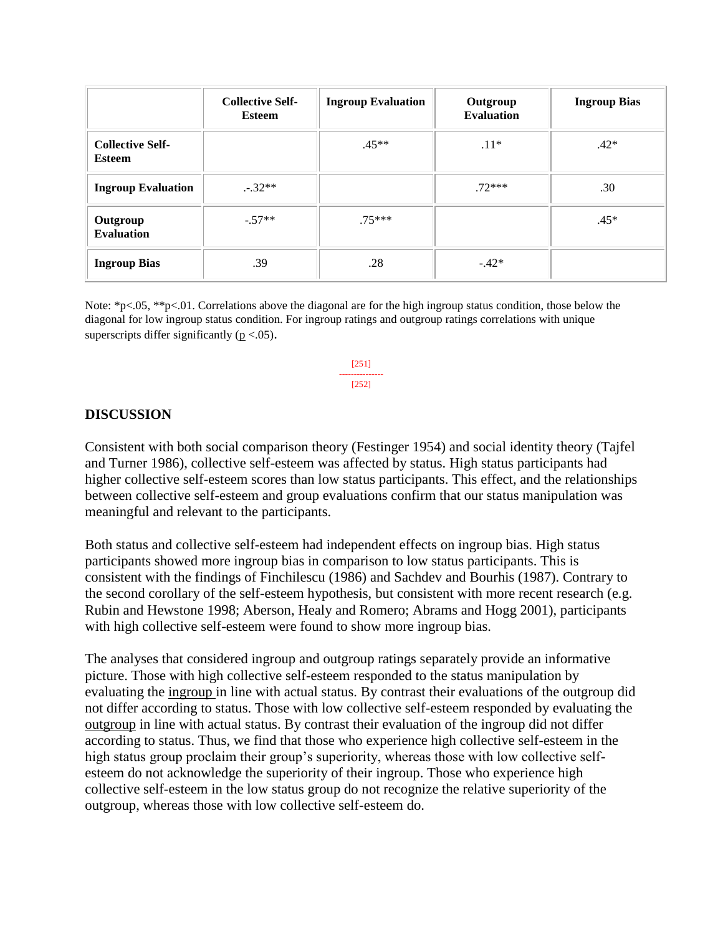|                                   | <b>Collective Self-</b><br><b>Esteem</b> | <b>Ingroup Evaluation</b> | Outgroup<br><b>Evaluation</b> | <b>Ingroup Bias</b> |
|-----------------------------------|------------------------------------------|---------------------------|-------------------------------|---------------------|
| <b>Collective Self-</b><br>Esteem |                                          | $.45**$                   | $.11*$                        | $.42*$              |
| <b>Ingroup Evaluation</b>         | $-.32**$                                 |                           | $.72***$                      | .30                 |
| Outgroup<br><b>Evaluation</b>     | $-.57**$                                 | $.75***$                  |                               | $.45*$              |
| <b>Ingroup Bias</b>               | .39                                      | .28                       | $-.42*$                       |                     |

Note: \*p<.05, \*\*p<.01. Correlations above the diagonal are for the high ingroup status condition, those below the diagonal for low ingroup status condition. For ingroup ratings and outgroup ratings correlations with unique superscripts differ significantly ( $p < .05$ ).

> [251] --------------- [252]

#### **DISCUSSION**

Consistent with both social comparison theory (Festinger 1954) and social identity theory (Tajfel and Turner 1986), collective self-esteem was affected by status. High status participants had higher collective self-esteem scores than low status participants. This effect, and the relationships between collective self-esteem and group evaluations confirm that our status manipulation was meaningful and relevant to the participants.

Both status and collective self-esteem had independent effects on ingroup bias. High status participants showed more ingroup bias in comparison to low status participants. This is consistent with the findings of Finchilescu (1986) and Sachdev and Bourhis (1987). Contrary to the second corollary of the self-esteem hypothesis, but consistent with more recent research (e.g. Rubin and Hewstone 1998; Aberson, Healy and Romero; Abrams and Hogg 2001), participants with high collective self-esteem were found to show more ingroup bias.

The analyses that considered ingroup and outgroup ratings separately provide an informative picture. Those with high collective self-esteem responded to the status manipulation by evaluating the ingroup in line with actual status. By contrast their evaluations of the outgroup did not differ according to status. Those with low collective self-esteem responded by evaluating the outgroup in line with actual status. By contrast their evaluation of the ingroup did not differ according to status. Thus, we find that those who experience high collective self-esteem in the high status group proclaim their group's superiority, whereas those with low collective selfesteem do not acknowledge the superiority of their ingroup. Those who experience high collective self-esteem in the low status group do not recognize the relative superiority of the outgroup, whereas those with low collective self-esteem do.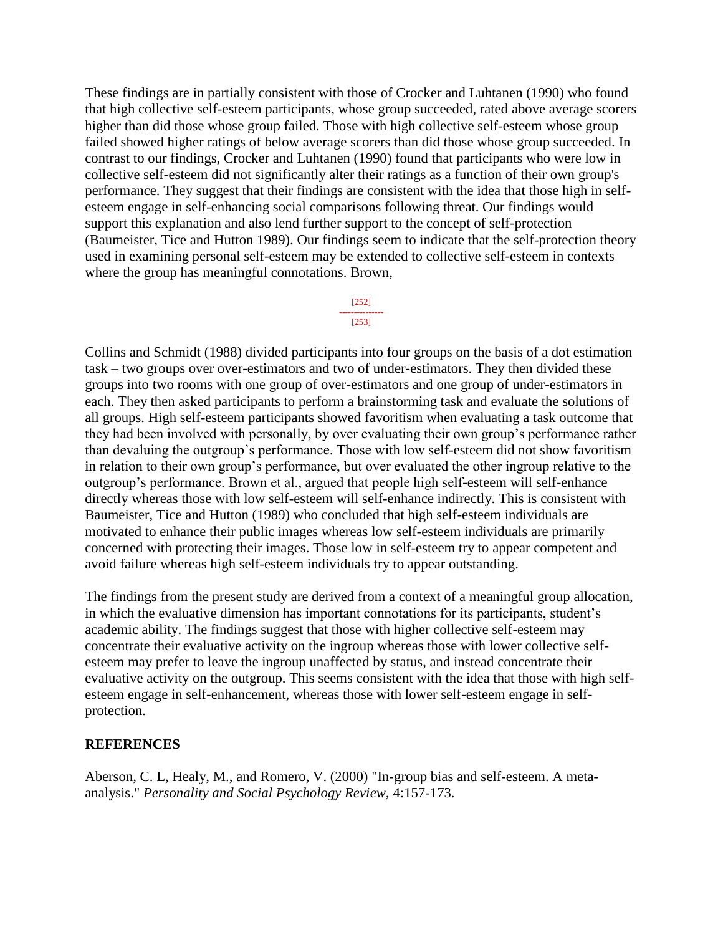These findings are in partially consistent with those of Crocker and Luhtanen (1990) who found that high collective self-esteem participants, whose group succeeded, rated above average scorers higher than did those whose group failed. Those with high collective self-esteem whose group failed showed higher ratings of below average scorers than did those whose group succeeded. In contrast to our findings, Crocker and Luhtanen (1990) found that participants who were low in collective self-esteem did not significantly alter their ratings as a function of their own group's performance. They suggest that their findings are consistent with the idea that those high in selfesteem engage in self-enhancing social comparisons following threat. Our findings would support this explanation and also lend further support to the concept of self-protection (Baumeister, Tice and Hutton 1989). Our findings seem to indicate that the self-protection theory used in examining personal self-esteem may be extended to collective self-esteem in contexts where the group has meaningful connotations. Brown,

#### [252] ---------------

## [253]

Collins and Schmidt (1988) divided participants into four groups on the basis of a dot estimation task – two groups over over-estimators and two of under-estimators. They then divided these groups into two rooms with one group of over-estimators and one group of under-estimators in each. They then asked participants to perform a brainstorming task and evaluate the solutions of all groups. High self-esteem participants showed favoritism when evaluating a task outcome that they had been involved with personally, by over evaluating their own group's performance rather than devaluing the outgroup's performance. Those with low self-esteem did not show favoritism in relation to their own group's performance, but over evaluated the other ingroup relative to the outgroup's performance. Brown et al., argued that people high self-esteem will self-enhance directly whereas those with low self-esteem will self-enhance indirectly. This is consistent with Baumeister, Tice and Hutton (1989) who concluded that high self-esteem individuals are motivated to enhance their public images whereas low self-esteem individuals are primarily concerned with protecting their images. Those low in self-esteem try to appear competent and avoid failure whereas high self-esteem individuals try to appear outstanding.

The findings from the present study are derived from a context of a meaningful group allocation, in which the evaluative dimension has important connotations for its participants, student's academic ability. The findings suggest that those with higher collective self-esteem may concentrate their evaluative activity on the ingroup whereas those with lower collective selfesteem may prefer to leave the ingroup unaffected by status, and instead concentrate their evaluative activity on the outgroup. This seems consistent with the idea that those with high selfesteem engage in self-enhancement, whereas those with lower self-esteem engage in selfprotection.

### **REFERENCES**

Aberson, C. L, Healy, M., and Romero, V. (2000) "In-group bias and self-esteem. A metaanalysis." *Personality and Social Psychology Review,* 4:157-173.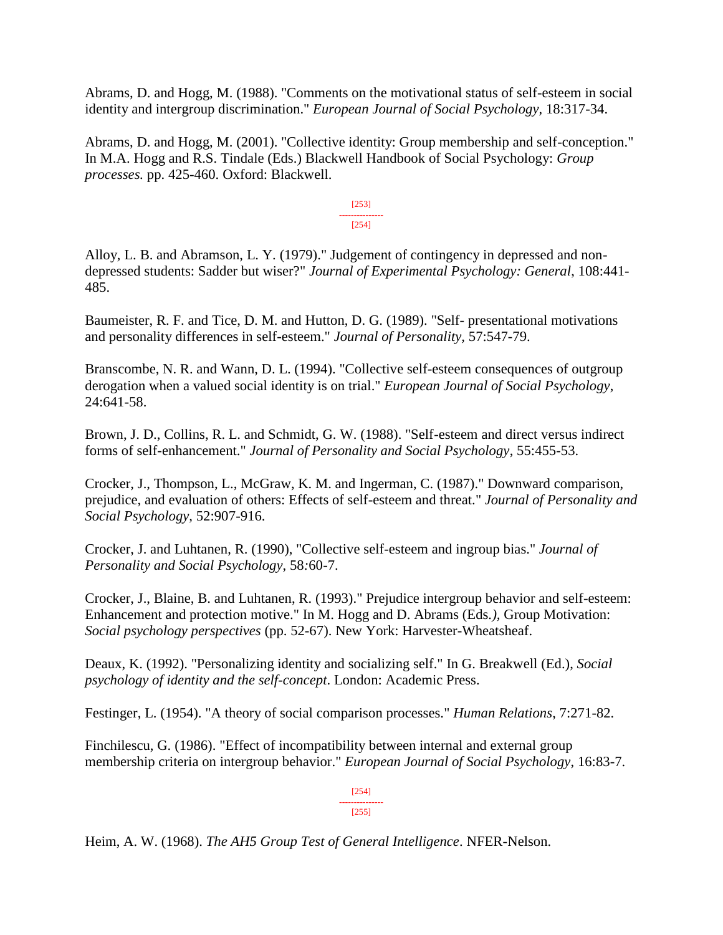Abrams, D. and Hogg, M. (1988). "Comments on the motivational status of self-esteem in social identity and intergroup discrimination." *European Journal of Social Psychology,* 18:317-34.

Abrams, D. and Hogg, M. (2001). "Collective identity: Group membership and self-conception." In M.A. Hogg and R.S. Tindale (Eds.) Blackwell Handbook of Social Psychology: *Group processes.* pp. 425-460. Oxford: Blackwell.

> [253] --------------- [254]

Alloy, L. B. and Abramson, L. Y. (1979)." Judgement of contingency in depressed and nondepressed students: Sadder but wiser?" *Journal of Experimental Psychology: General*, 108:441- 485.

Baumeister, R. F. and Tice, D. M. and Hutton, D. G. (1989). "Self- presentational motivations and personality differences in self-esteem." *Journal of Personality,* 57:547-79.

Branscombe, N. R. and Wann, D. L. (1994). "Collective self-esteem consequences of outgroup derogation when a valued social identity is on trial." *European Journal of Social Psychology*, 24:641-58.

Brown, J. D., Collins, R. L. and Schmidt, G. W. (1988). "Self-esteem and direct versus indirect forms of self-enhancement." *Journal of Personality and Social Psychology*, 55:455-53.

Crocker, J., Thompson, L., McGraw, K. M. and Ingerman, C. (1987)." Downward comparison, prejudice, and evaluation of others: Effects of self-esteem and threat." *Journal of Personality and Social Psychology,* 52:907-916.

Crocker, J. and Luhtanen, R. (1990), "Collective self-esteem and ingroup bias." *Journal of Personality and Social Psychology*, 58*:*60-7.

Crocker, J., Blaine, B. and Luhtanen, R. (1993)." Prejudice intergroup behavior and self-esteem: Enhancement and protection motive." In M. Hogg and D. Abrams (Eds*.),* Group Motivation: *Social psychology perspectives* (pp. 52-67). New York: Harvester-Wheatsheaf.

Deaux, K. (1992). "Personalizing identity and socializing self." In G. Breakwell (Ed.), *Social psychology of identity and the self-concept*. London: Academic Press.

Festinger, L. (1954). "A theory of social comparison processes." *Human Relations*, 7:271-82.

Finchilescu, G. (1986). "Effect of incompatibility between internal and external group membership criteria on intergroup behavior." *European Journal of Social Psychology*, 16:83-7.

> [254] --------------- [255]

Heim, A. W. (1968). *The AH5 Group Test of General Intelligence*. NFER-Nelson.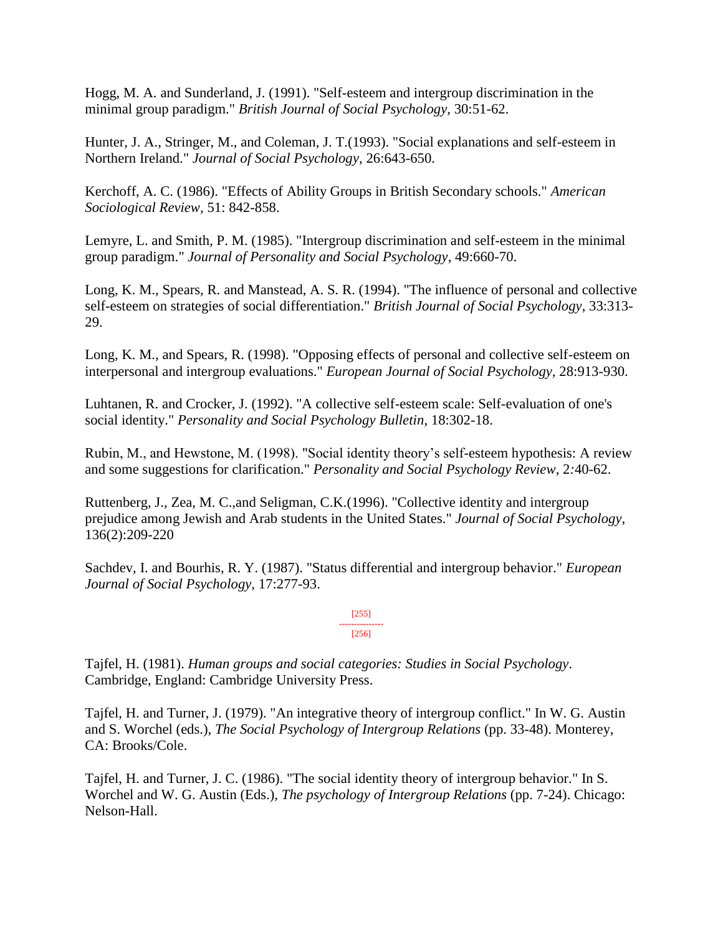Hogg, M. A. and Sunderland, J. (1991). "Self-esteem and intergroup discrimination in the minimal group paradigm." *British Journal of Social Psychology*, 30:51-62.

Hunter, J. A., Stringer, M., and Coleman, J. T.(1993). "Social explanations and self-esteem in Northern Ireland." *Journal of Social Psychology*, 26:643-650.

Kerchoff, A. C. (1986). "Effects of Ability Groups in British Secondary schools." *American Sociological Review,* 51: 842-858.

Lemyre, L. and Smith, P. M. (1985). "Intergroup discrimination and self-esteem in the minimal group paradigm." *Journal of Personality and Social Psychology*, 49:660-70.

Long, K. M., Spears, R. and Manstead, A. S. R. (1994). "The influence of personal and collective self-esteem on strategies of social differentiation." *British Journal of Social Psychology*, 33:313- 29.

Long, K. M., and Spears, R. (1998). "Opposing effects of personal and collective self-esteem on interpersonal and intergroup evaluations." *European Journal of Social Psychology,* 28:913-930.

Luhtanen, R. and Crocker, J. (1992). "A collective self-esteem scale: Self-evaluation of one's social identity." *Personality and Social Psychology Bulletin*, 18:302-18.

Rubin, M., and Hewstone, M. (1998). "Social identity theory's self-esteem hypothesis: A review and some suggestions for clarification." *Personality and Social Psychology Review*, 2*:*40-62.

Ruttenberg, J., Zea, M. C.,and Seligman, C.K.(1996). "Collective identity and intergroup prejudice among Jewish and Arab students in the United States." *Journal of Social Psychology*, 136(2):209-220

Sachdev, I. and Bourhis, R. Y. (1987). "Status differential and intergroup behavior." *European Journal of Social Psychology,* 17:277-93.

> [255] --------------- [256]

Tajfel, H. (1981). *Human groups and social categories: Studies in Social Psychology*. Cambridge, England: Cambridge University Press.

Tajfel, H. and Turner, J. (1979). "An integrative theory of intergroup conflict." In W. G. Austin and S. Worchel (eds.), *The Social Psychology of Intergroup Relations* (pp. 33-48). Monterey, CA: Brooks/Cole.

Tajfel, H. and Turner, J. C. (1986). "The social identity theory of intergroup behavior." In S. Worchel and W. G. Austin (Eds.), *The psychology of Intergroup Relations* (pp. 7-24). Chicago: Nelson-Hall.